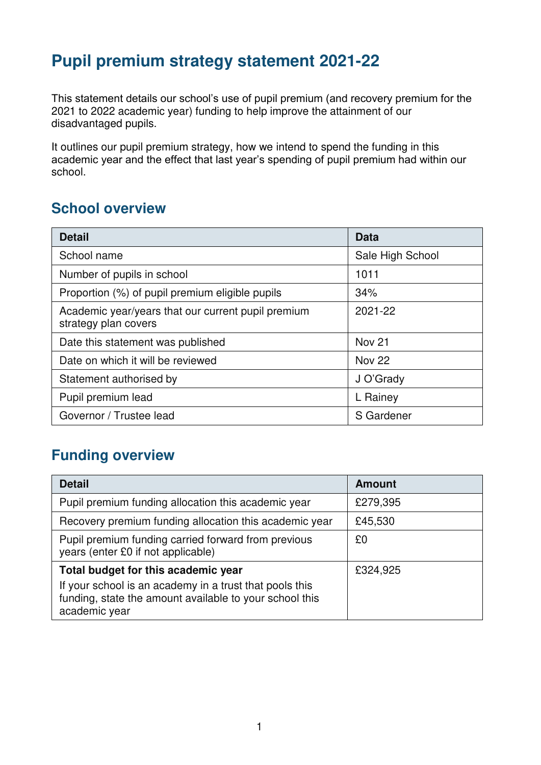## **Pupil premium strategy statement 2021-22**

This statement details our school's use of pupil premium (and recovery premium for the 2021 to 2022 academic year) funding to help improve the attainment of our disadvantaged pupils.

It outlines our pupil premium strategy, how we intend to spend the funding in this academic year and the effect that last year's spending of pupil premium had within our school.

#### **School overview**

| <b>Detail</b>                                                              | <b>Data</b>       |
|----------------------------------------------------------------------------|-------------------|
| School name                                                                | Sale High School  |
| Number of pupils in school                                                 | 1011              |
| Proportion (%) of pupil premium eligible pupils                            | 34%               |
| Academic year/years that our current pupil premium<br>strategy plan covers | 2021-22           |
| Date this statement was published                                          | Nov <sub>21</sub> |
| Date on which it will be reviewed                                          | <b>Nov 22</b>     |
| Statement authorised by                                                    | J O'Grady         |
| Pupil premium lead                                                         | L Rainey          |
| Governor / Trustee lead                                                    | S Gardener        |

### **Funding overview**

| <b>Detail</b>                                                                                                                       | <b>Amount</b> |
|-------------------------------------------------------------------------------------------------------------------------------------|---------------|
| Pupil premium funding allocation this academic year                                                                                 | £279,395      |
| Recovery premium funding allocation this academic year                                                                              | £45,530       |
| Pupil premium funding carried forward from previous<br>years (enter £0 if not applicable)                                           | £0            |
| Total budget for this academic year                                                                                                 | £324,925      |
| If your school is an academy in a trust that pools this<br>funding, state the amount available to your school this<br>academic year |               |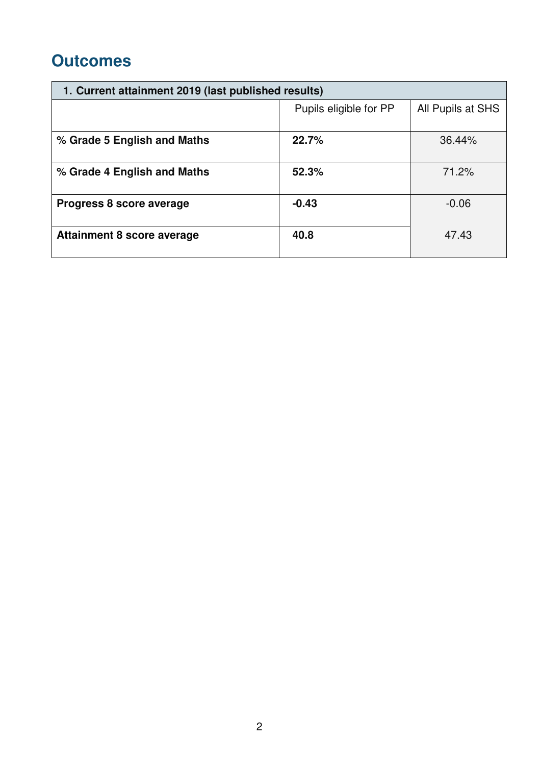# **Outcomes**

| 1. Current attainment 2019 (last published results) |                        |                   |  |
|-----------------------------------------------------|------------------------|-------------------|--|
|                                                     | Pupils eligible for PP | All Pupils at SHS |  |
| % Grade 5 English and Maths                         | 22.7%                  | 36.44%            |  |
| % Grade 4 English and Maths                         | 52.3%                  | 71.2%             |  |
| Progress 8 score average                            | $-0.43$                | $-0.06$           |  |
| Attainment 8 score average                          | 40.8                   | 47.43             |  |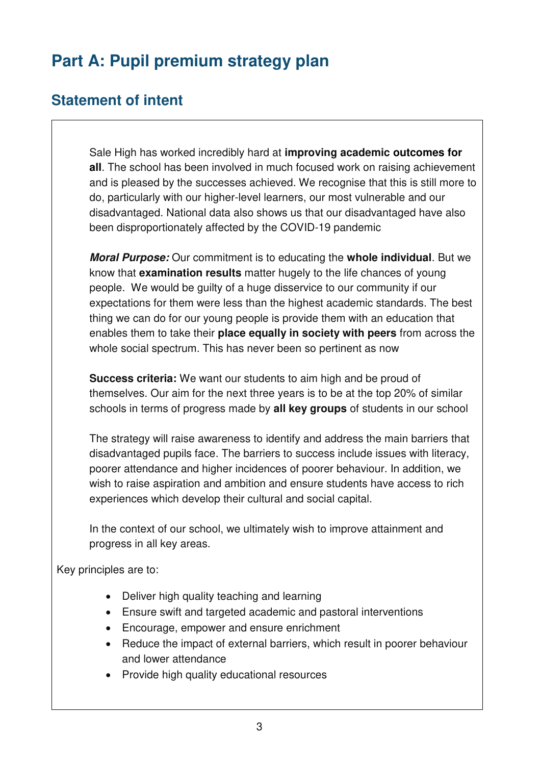# **Part A: Pupil premium strategy plan**

### **Statement of intent**

Sale High has worked incredibly hard at **improving academic outcomes for all**. The school has been involved in much focused work on raising achievement and is pleased by the successes achieved. We recognise that this is still more to do, particularly with our higher-level learners, our most vulnerable and our disadvantaged. National data also shows us that our disadvantaged have also been disproportionately affected by the COVID-19 pandemic

**Moral Purpose:** Our commitment is to educating the **whole individual**. But we know that **examination results** matter hugely to the life chances of young people. We would be guilty of a huge disservice to our community if our expectations for them were less than the highest academic standards. The best thing we can do for our young people is provide them with an education that enables them to take their **place equally in society with peers** from across the whole social spectrum. This has never been so pertinent as now

**Success criteria:** We want our students to aim high and be proud of themselves. Our aim for the next three years is to be at the top 20% of similar schools in terms of progress made by **all key groups** of students in our school

The strategy will raise awareness to identify and address the main barriers that disadvantaged pupils face. The barriers to success include issues with literacy, poorer attendance and higher incidences of poorer behaviour. In addition, we wish to raise aspiration and ambition and ensure students have access to rich experiences which develop their cultural and social capital.

In the context of our school, we ultimately wish to improve attainment and progress in all key areas.

Key principles are to:

- Deliver high quality teaching and learning
- Ensure swift and targeted academic and pastoral interventions
- Encourage, empower and ensure enrichment
- Reduce the impact of external barriers, which result in poorer behaviour and lower attendance
- Provide high quality educational resources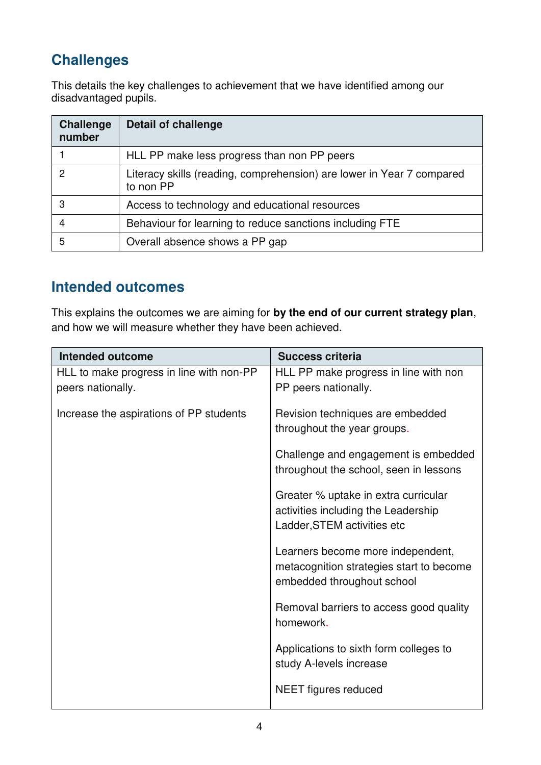## **Challenges**

This details the key challenges to achievement that we have identified among our disadvantaged pupils.

| <b>Challenge</b><br>number | <b>Detail of challenge</b>                                                         |
|----------------------------|------------------------------------------------------------------------------------|
|                            | HLL PP make less progress than non PP peers                                        |
| 2                          | Literacy skills (reading, comprehension) are lower in Year 7 compared<br>to non PP |
| 3                          | Access to technology and educational resources                                     |
|                            | Behaviour for learning to reduce sanctions including FTE                           |
| 5                          | Overall absence shows a PP gap                                                     |

### **Intended outcomes**

This explains the outcomes we are aiming for **by the end of our current strategy plan**, and how we will measure whether they have been achieved.

| <b>Intended outcome</b>                  | <b>Success criteria</b>                                                                                     |
|------------------------------------------|-------------------------------------------------------------------------------------------------------------|
| HLL to make progress in line with non-PP | HLL PP make progress in line with non                                                                       |
| peers nationally.                        | PP peers nationally.                                                                                        |
| Increase the aspirations of PP students  | Revision techniques are embedded<br>throughout the year groups.                                             |
|                                          | Challenge and engagement is embedded<br>throughout the school, seen in lessons                              |
|                                          | Greater % uptake in extra curricular<br>activities including the Leadership<br>Ladder, STEM activities etc  |
|                                          | Learners become more independent,<br>metacognition strategies start to become<br>embedded throughout school |
|                                          | Removal barriers to access good quality<br>homework.                                                        |
|                                          | Applications to sixth form colleges to<br>study A-levels increase                                           |
|                                          | <b>NEET</b> figures reduced                                                                                 |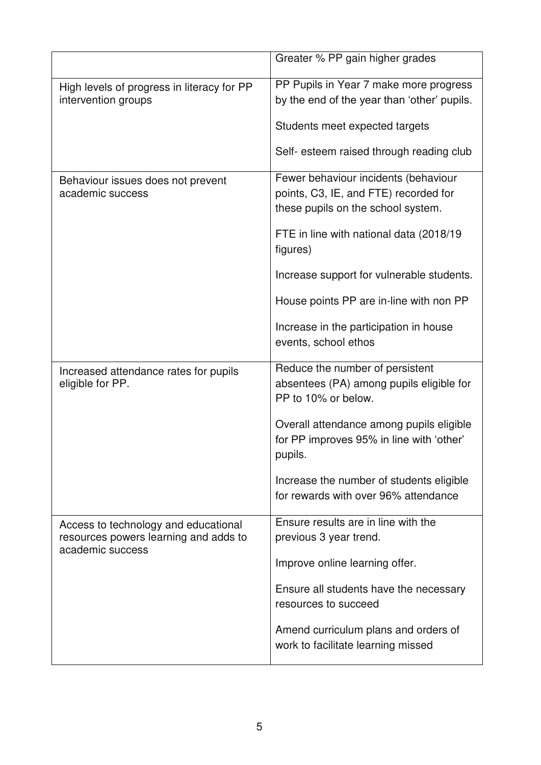|                                                                               | Greater % PP gain higher grades                                                                                     |
|-------------------------------------------------------------------------------|---------------------------------------------------------------------------------------------------------------------|
| High levels of progress in literacy for PP                                    | PP Pupils in Year 7 make more progress                                                                              |
| intervention groups                                                           | by the end of the year than 'other' pupils.                                                                         |
|                                                                               | Students meet expected targets                                                                                      |
|                                                                               | Self- esteem raised through reading club                                                                            |
| Behaviour issues does not prevent<br>academic success                         | Fewer behaviour incidents (behaviour<br>points, C3, IE, and FTE) recorded for<br>these pupils on the school system. |
|                                                                               | FTE in line with national data (2018/19)<br>figures)                                                                |
|                                                                               | Increase support for vulnerable students.                                                                           |
|                                                                               | House points PP are in-line with non PP                                                                             |
|                                                                               | Increase in the participation in house<br>events, school ethos                                                      |
| Increased attendance rates for pupils<br>eligible for PP.                     | Reduce the number of persistent<br>absentees (PA) among pupils eligible for<br>PP to 10% or below.                  |
|                                                                               | Overall attendance among pupils eligible<br>for PP improves 95% in line with 'other'<br>pupils.                     |
|                                                                               | Increase the number of students eligible<br>for rewards with over 96% attendance                                    |
| Access to technology and educational<br>resources powers learning and adds to | Ensure results are in line with the<br>previous 3 year trend.                                                       |
| academic success                                                              | Improve online learning offer.                                                                                      |
|                                                                               | Ensure all students have the necessary<br>resources to succeed                                                      |
|                                                                               | Amend curriculum plans and orders of<br>work to facilitate learning missed                                          |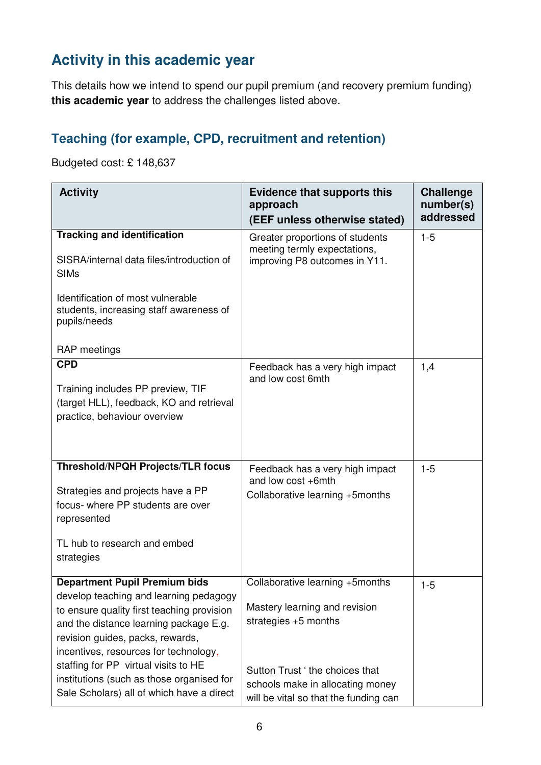# **Activity in this academic year**

This details how we intend to spend our pupil premium (and recovery premium funding) **this academic year** to address the challenges listed above.

### **Teaching (for example, CPD, recruitment and retention)**

Budgeted cost: £ 148,637

| <b>Activity</b>                                                                                                                                                                                                                                                                                                                                                                       | <b>Evidence that supports this</b><br>approach<br>(EEF unless otherwise stated)                                                                                                                           | <b>Challenge</b><br>number(s)<br>addressed |
|---------------------------------------------------------------------------------------------------------------------------------------------------------------------------------------------------------------------------------------------------------------------------------------------------------------------------------------------------------------------------------------|-----------------------------------------------------------------------------------------------------------------------------------------------------------------------------------------------------------|--------------------------------------------|
| <b>Tracking and identification</b><br>SISRA/internal data files/introduction of<br><b>SIMs</b><br>Identification of most vulnerable<br>students, increasing staff awareness of<br>pupils/needs<br><b>RAP</b> meetings                                                                                                                                                                 | Greater proportions of students<br>meeting termly expectations,<br>improving P8 outcomes in Y11.                                                                                                          | $1 - 5$                                    |
| <b>CPD</b><br>Training includes PP preview, TIF<br>(target HLL), feedback, KO and retrieval<br>practice, behaviour overview                                                                                                                                                                                                                                                           | Feedback has a very high impact<br>and low cost 6mth                                                                                                                                                      | 1,4                                        |
| <b>Threshold/NPQH Projects/TLR focus</b><br>Strategies and projects have a PP<br>focus- where PP students are over<br>represented<br>TL hub to research and embed<br>strategies                                                                                                                                                                                                       | Feedback has a very high impact<br>and low cost +6mth<br>Collaborative learning +5months                                                                                                                  | $1 - 5$                                    |
| <b>Department Pupil Premium bids</b><br>develop teaching and learning pedagogy<br>to ensure quality first teaching provision<br>and the distance learning package E.g.<br>revision guides, packs, rewards,<br>incentives, resources for technology,<br>staffing for PP virtual visits to HE<br>institutions (such as those organised for<br>Sale Scholars) all of which have a direct | Collaborative learning +5months<br>Mastery learning and revision<br>strategies $+5$ months<br>Sutton Trust 'the choices that<br>schools make in allocating money<br>will be vital so that the funding can | $1 - 5$                                    |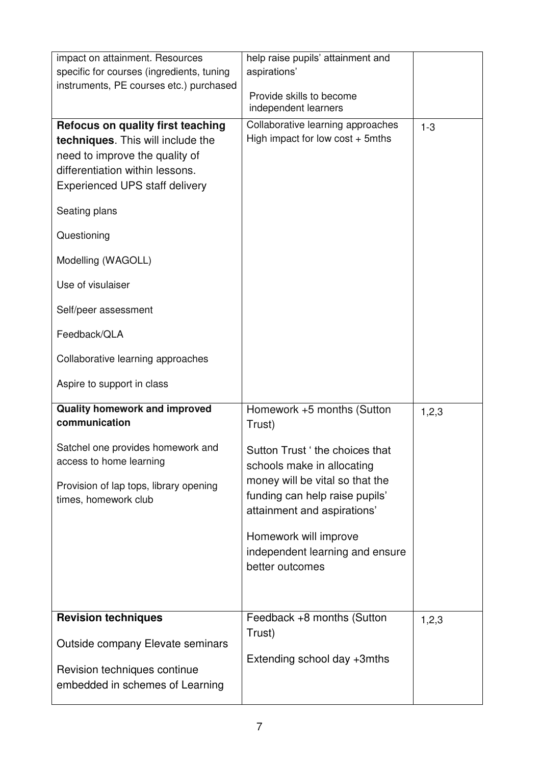| impact on attainment. Resources<br>specific for courses (ingredients, tuning                                                                                                                                                                                                                                                                                               | help raise pupils' attainment and<br>aspirations'                                                |         |
|----------------------------------------------------------------------------------------------------------------------------------------------------------------------------------------------------------------------------------------------------------------------------------------------------------------------------------------------------------------------------|--------------------------------------------------------------------------------------------------|---------|
| instruments, PE courses etc.) purchased                                                                                                                                                                                                                                                                                                                                    |                                                                                                  |         |
|                                                                                                                                                                                                                                                                                                                                                                            | Provide skills to become<br>independent learners                                                 |         |
| Refocus on quality first teaching<br>techniques. This will include the<br>need to improve the quality of<br>differentiation within lessons.<br><b>Experienced UPS staff delivery</b><br>Seating plans<br>Questioning<br>Modelling (WAGOLL)<br>Use of visulaiser<br>Self/peer assessment<br>Feedback/QLA<br>Collaborative learning approaches<br>Aspire to support in class | Collaborative learning approaches<br>High impact for low cost $+$ 5mths                          | $1 - 3$ |
| <b>Quality homework and improved</b><br>communication                                                                                                                                                                                                                                                                                                                      | Homework +5 months (Sutton                                                                       | 1,2,3   |
|                                                                                                                                                                                                                                                                                                                                                                            | Trust)                                                                                           |         |
| Satchel one provides homework and<br>access to home learning                                                                                                                                                                                                                                                                                                               | Sutton Trust ' the choices that<br>schools make in allocating                                    |         |
| Provision of lap tops, library opening<br>times, homework club                                                                                                                                                                                                                                                                                                             | money will be vital so that the<br>funding can help raise pupils'<br>attainment and aspirations' |         |
|                                                                                                                                                                                                                                                                                                                                                                            | Homework will improve<br>independent learning and ensure<br>better outcomes                      |         |
|                                                                                                                                                                                                                                                                                                                                                                            |                                                                                                  |         |
| <b>Revision techniques</b>                                                                                                                                                                                                                                                                                                                                                 | Feedback +8 months (Sutton<br>Trust)                                                             | 1,2,3   |
| Outside company Elevate seminars                                                                                                                                                                                                                                                                                                                                           |                                                                                                  |         |
| Revision techniques continue<br>embedded in schemes of Learning                                                                                                                                                                                                                                                                                                            | Extending school day +3mths                                                                      |         |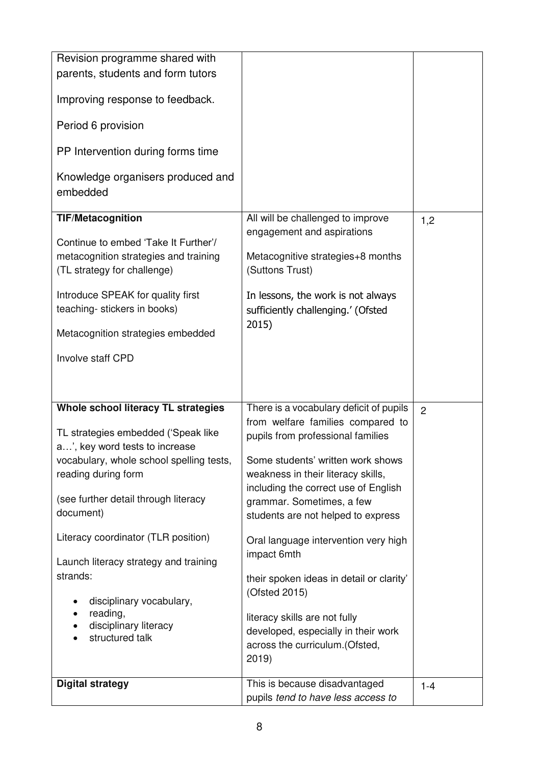| Revision programme shared with<br>parents, students and form tutors<br>Improving response to feedback.<br>Period 6 provision<br>PP Intervention during forms time                                                                                                                                                                                                                                                    |                                                                                                                                                                                                                                                                                                                                                                                                                                                                                                                                               |                |
|----------------------------------------------------------------------------------------------------------------------------------------------------------------------------------------------------------------------------------------------------------------------------------------------------------------------------------------------------------------------------------------------------------------------|-----------------------------------------------------------------------------------------------------------------------------------------------------------------------------------------------------------------------------------------------------------------------------------------------------------------------------------------------------------------------------------------------------------------------------------------------------------------------------------------------------------------------------------------------|----------------|
| Knowledge organisers produced and<br>embedded                                                                                                                                                                                                                                                                                                                                                                        |                                                                                                                                                                                                                                                                                                                                                                                                                                                                                                                                               |                |
| <b>TIF/Metacognition</b><br>Continue to embed 'Take It Further'/<br>metacognition strategies and training<br>(TL strategy for challenge)<br>Introduce SPEAK for quality first<br>teaching-stickers in books)<br>Metacognition strategies embedded<br>Involve staff CPD                                                                                                                                               | All will be challenged to improve<br>engagement and aspirations<br>Metacognitive strategies+8 months<br>(Suttons Trust)<br>In lessons, the work is not always<br>sufficiently challenging.' (Ofsted<br>2015)                                                                                                                                                                                                                                                                                                                                  | 1,2            |
| Whole school literacy TL strategies<br>TL strategies embedded ('Speak like<br>a', key word tests to increase<br>vocabulary, whole school spelling tests,<br>reading during form<br>(see further detail through literacy<br>document)<br>Literacy coordinator (TLR position)<br>Launch literacy strategy and training<br>strands:<br>disciplinary vocabulary,<br>reading,<br>disciplinary literacy<br>structured talk | There is a vocabulary deficit of pupils<br>from welfare families compared to<br>pupils from professional families<br>Some students' written work shows<br>weakness in their literacy skills,<br>including the correct use of English<br>grammar. Sometimes, a few<br>students are not helped to express<br>Oral language intervention very high<br>impact 6mth<br>their spoken ideas in detail or clarity'<br>(Ofsted 2015)<br>literacy skills are not fully<br>developed, especially in their work<br>across the curriculum.(Ofsted,<br>2019 | $\overline{2}$ |
| <b>Digital strategy</b>                                                                                                                                                                                                                                                                                                                                                                                              | This is because disadvantaged<br>pupils tend to have less access to                                                                                                                                                                                                                                                                                                                                                                                                                                                                           | $1 - 4$        |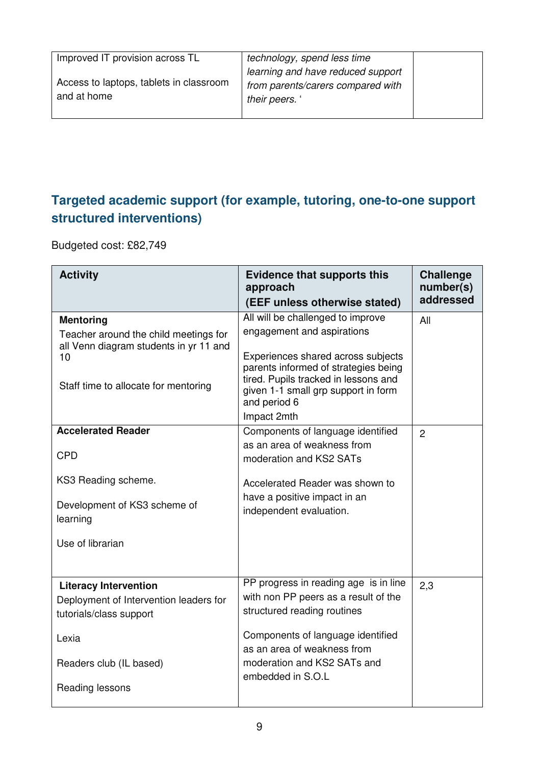| Improved IT provision across TL         | technology, spend less time       |  |
|-----------------------------------------|-----------------------------------|--|
|                                         | learning and have reduced support |  |
| Access to laptops, tablets in classroom | from parents/carers compared with |  |
| and at home                             | their peers.                      |  |
|                                         |                                   |  |

#### **Targeted academic support (for example, tutoring, one-to-one support structured interventions)**

Budgeted cost: £82,749

| <b>Activity</b>                                                                                                                                          | <b>Evidence that supports this</b><br>approach<br>(EEF unless otherwise stated)                                                                                                                                                                             | <b>Challenge</b><br>number(s)<br>addressed |
|----------------------------------------------------------------------------------------------------------------------------------------------------------|-------------------------------------------------------------------------------------------------------------------------------------------------------------------------------------------------------------------------------------------------------------|--------------------------------------------|
| <b>Mentoring</b><br>Teacher around the child meetings for<br>all Venn diagram students in yr 11 and<br>10<br>Staff time to allocate for mentoring        | All will be challenged to improve<br>engagement and aspirations<br>Experiences shared across subjects<br>parents informed of strategies being<br>tired. Pupils tracked in lessons and<br>given 1-1 small grp support in form<br>and period 6<br>Impact 2mth | All                                        |
| <b>Accelerated Reader</b><br><b>CPD</b><br>KS3 Reading scheme.<br>Development of KS3 scheme of<br>learning<br>Use of librarian                           | Components of language identified<br>as an area of weakness from<br>moderation and KS2 SATs<br>Accelerated Reader was shown to<br>have a positive impact in an<br>independent evaluation.                                                                   | $\overline{2}$                             |
| <b>Literacy Intervention</b><br>Deployment of Intervention leaders for<br>tutorials/class support<br>Lexia<br>Readers club (IL based)<br>Reading lessons | PP progress in reading age is in line<br>with non PP peers as a result of the<br>structured reading routines<br>Components of language identified<br>as an area of weakness from<br>moderation and KS2 SATs and<br>embedded in S.O.L                        | 2,3                                        |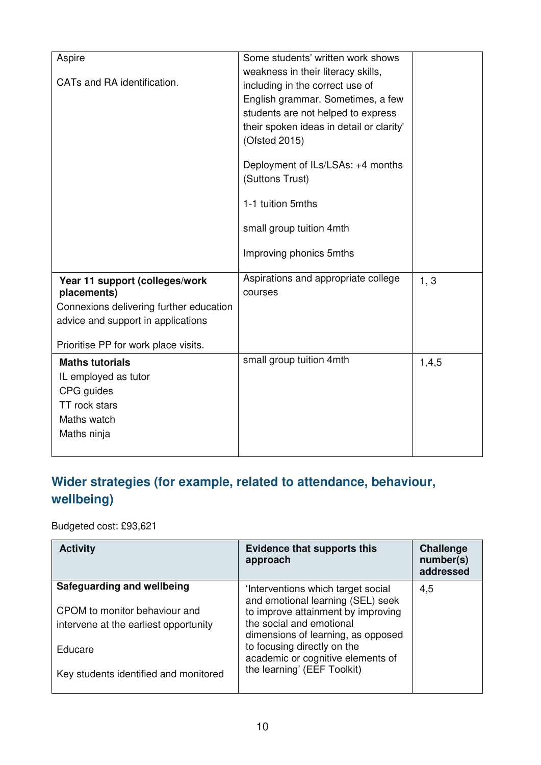| Aspire<br>CATs and RA identification.                                                                                                                                  | Some students' written work shows<br>weakness in their literacy skills,<br>including in the correct use of<br>English grammar. Sometimes, a few<br>students are not helped to express<br>their spoken ideas in detail or clarity'<br>(Ofsted 2015)<br>Deployment of ILs/LSAs: +4 months<br>(Suttons Trust) |       |
|------------------------------------------------------------------------------------------------------------------------------------------------------------------------|------------------------------------------------------------------------------------------------------------------------------------------------------------------------------------------------------------------------------------------------------------------------------------------------------------|-------|
|                                                                                                                                                                        | 1-1 tuition 5mths<br>small group tuition 4mth                                                                                                                                                                                                                                                              |       |
|                                                                                                                                                                        | Improving phonics 5mths                                                                                                                                                                                                                                                                                    |       |
| Year 11 support (colleges/work<br>placements)<br>Connexions delivering further education<br>advice and support in applications<br>Prioritise PP for work place visits. | Aspirations and appropriate college<br>courses                                                                                                                                                                                                                                                             | 1, 3  |
| <b>Maths tutorials</b>                                                                                                                                                 | small group tuition 4mth                                                                                                                                                                                                                                                                                   | 1,4,5 |
| IL employed as tutor<br>CPG guides                                                                                                                                     |                                                                                                                                                                                                                                                                                                            |       |
| TT rock stars                                                                                                                                                          |                                                                                                                                                                                                                                                                                                            |       |
| Maths watch                                                                                                                                                            |                                                                                                                                                                                                                                                                                                            |       |
| Maths ninja                                                                                                                                                            |                                                                                                                                                                                                                                                                                                            |       |

### **Wider strategies (for example, related to attendance, behaviour, wellbeing)**

Budgeted cost: £93,621

| <b>Activity</b>                                                                                      | <b>Evidence that supports this</b><br>approach                                                                                                                                  | <b>Challenge</b><br>number(s)<br>addressed |
|------------------------------------------------------------------------------------------------------|---------------------------------------------------------------------------------------------------------------------------------------------------------------------------------|--------------------------------------------|
| Safeguarding and wellbeing<br>CPOM to monitor behaviour and<br>intervene at the earliest opportunity | 'Interventions which target social<br>and emotional learning (SEL) seek<br>to improve attainment by improving<br>the social and emotional<br>dimensions of learning, as opposed | 4,5                                        |
| Educare<br>Key students identified and monitored                                                     | to focusing directly on the<br>academic or cognitive elements of<br>the learning' (EEF Toolkit)                                                                                 |                                            |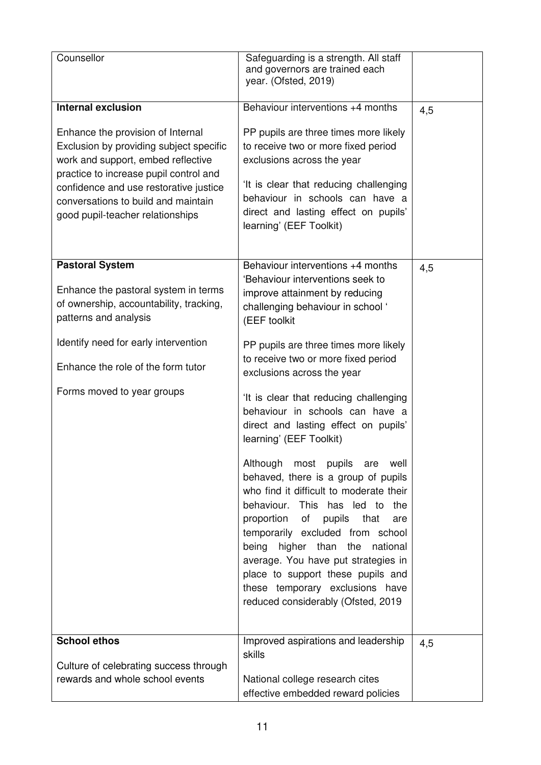| Counsellor                                                                                                                                                                                                                                                                                                     | Safeguarding is a strength. All staff<br>and governors are trained each<br>year. (Ofsted, 2019)                                                                                                                                                                                                                                                                                                                                                                                                                                                                                                                                                                                                                                                                                                                                                                   |     |
|----------------------------------------------------------------------------------------------------------------------------------------------------------------------------------------------------------------------------------------------------------------------------------------------------------------|-------------------------------------------------------------------------------------------------------------------------------------------------------------------------------------------------------------------------------------------------------------------------------------------------------------------------------------------------------------------------------------------------------------------------------------------------------------------------------------------------------------------------------------------------------------------------------------------------------------------------------------------------------------------------------------------------------------------------------------------------------------------------------------------------------------------------------------------------------------------|-----|
| <b>Internal exclusion</b><br>Enhance the provision of Internal<br>Exclusion by providing subject specific<br>work and support, embed reflective<br>practice to increase pupil control and<br>confidence and use restorative justice<br>conversations to build and maintain<br>good pupil-teacher relationships | Behaviour interventions +4 months<br>PP pupils are three times more likely<br>to receive two or more fixed period<br>exclusions across the year<br>'It is clear that reducing challenging<br>behaviour in schools can have a<br>direct and lasting effect on pupils'<br>learning' (EEF Toolkit)                                                                                                                                                                                                                                                                                                                                                                                                                                                                                                                                                                   | 4,5 |
| <b>Pastoral System</b><br>Enhance the pastoral system in terms<br>of ownership, accountability, tracking,<br>patterns and analysis<br>Identify need for early intervention<br>Enhance the role of the form tutor<br>Forms moved to year groups                                                                 | Behaviour interventions +4 months<br>'Behaviour interventions seek to<br>improve attainment by reducing<br>challenging behaviour in school '<br>(EEF toolkit<br>PP pupils are three times more likely<br>to receive two or more fixed period<br>exclusions across the year<br>'It is clear that reducing challenging<br>behaviour in schools can have a<br>direct and lasting effect on pupils'<br>learning' (EEF Toolkit)<br>Although<br>most pupils are<br>well<br>behaved, there is a group of pupils<br>who find it difficult to moderate their<br>behaviour. This has led to the<br>proportion of<br>pupils<br>that<br>are<br>temporarily excluded from school<br>being<br>higher than the<br>national<br>average. You have put strategies in<br>place to support these pupils and<br>these temporary exclusions have<br>reduced considerably (Ofsted, 2019) | 4,5 |
| <b>School ethos</b><br>Culture of celebrating success through<br>rewards and whole school events                                                                                                                                                                                                               | Improved aspirations and leadership<br>skills<br>National college research cites<br>effective embedded reward policies                                                                                                                                                                                                                                                                                                                                                                                                                                                                                                                                                                                                                                                                                                                                            | 4,5 |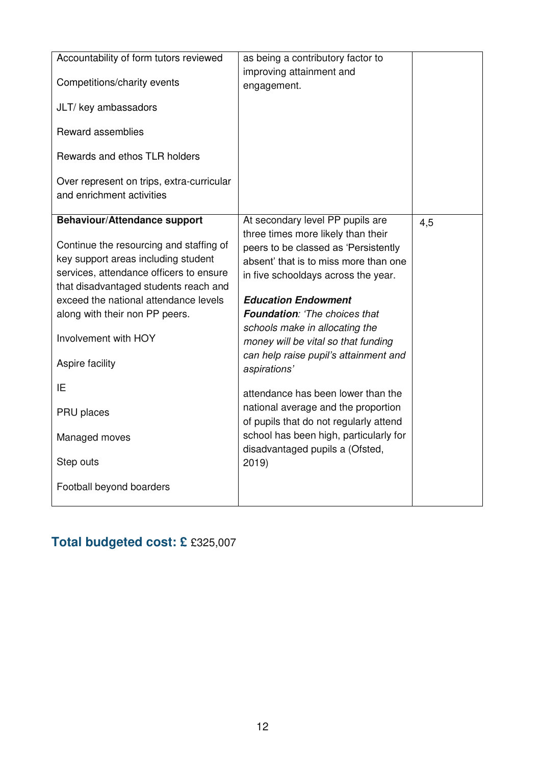| Accountability of form tutors reviewed    | as being a contributory factor to      |     |
|-------------------------------------------|----------------------------------------|-----|
|                                           | improving attainment and               |     |
| Competitions/charity events               |                                        |     |
|                                           | engagement.                            |     |
| JLT/ key ambassadors                      |                                        |     |
|                                           |                                        |     |
| Reward assemblies                         |                                        |     |
|                                           |                                        |     |
| Rewards and ethos TLR holders             |                                        |     |
|                                           |                                        |     |
| Over represent on trips, extra-curricular |                                        |     |
| and enrichment activities                 |                                        |     |
|                                           |                                        |     |
| <b>Behaviour/Attendance support</b>       | At secondary level PP pupils are       | 4,5 |
|                                           | three times more likely than their     |     |
| Continue the resourcing and staffing of   | peers to be classed as 'Persistently   |     |
| key support areas including student       | absent' that is to miss more than one  |     |
| services, attendance officers to ensure   | in five schooldays across the year.    |     |
| that disadvantaged students reach and     |                                        |     |
| exceed the national attendance levels     | <b>Education Endowment</b>             |     |
| along with their non PP peers.            | <b>Foundation: 'The choices that'</b>  |     |
|                                           | schools make in allocating the         |     |
| Involvement with HOY                      | money will be vital so that funding    |     |
|                                           | can help raise pupil's attainment and  |     |
| Aspire facility                           | aspirations'                           |     |
|                                           |                                        |     |
| IE                                        | attendance has been lower than the     |     |
|                                           | national average and the proportion    |     |
| PRU places                                |                                        |     |
|                                           |                                        |     |
|                                           | of pupils that do not regularly attend |     |
| Managed moves                             | school has been high, particularly for |     |
|                                           | disadvantaged pupils a (Ofsted,        |     |
| Step outs                                 | 2019                                   |     |
|                                           |                                        |     |
| Football beyond boarders                  |                                        |     |

### **Total budgeted cost: £** £325,007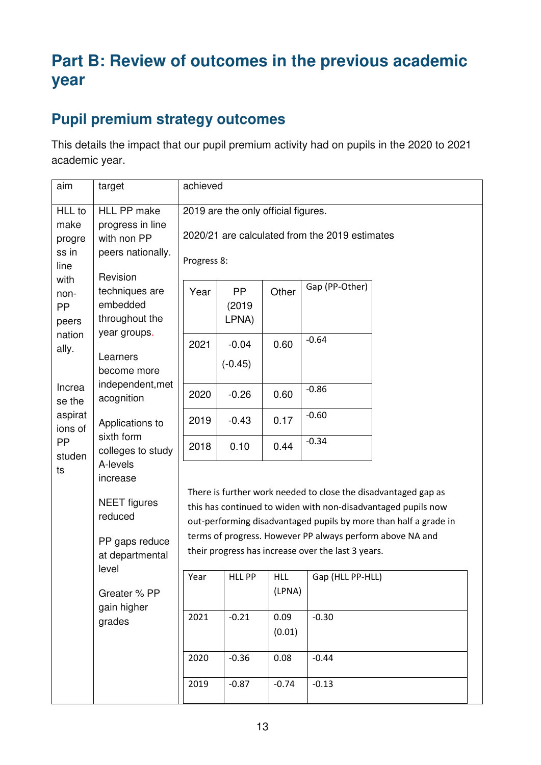# **Part B: Review of outcomes in the previous academic year**

### **Pupil premium strategy outcomes**

This details the impact that our pupil premium activity had on pupils in the 2020 to 2021 academic year.

| aim                                                                                             | target                                               |                                                                                                                                                                                                     | achieved             |                      |                  |  |  |  |  |  |
|-------------------------------------------------------------------------------------------------|------------------------------------------------------|-----------------------------------------------------------------------------------------------------------------------------------------------------------------------------------------------------|----------------------|----------------------|------------------|--|--|--|--|--|
| HLL to                                                                                          | <b>HLL PP make</b>                                   | 2019 are the only official figures.                                                                                                                                                                 |                      |                      |                  |  |  |  |  |  |
| make<br>progre<br>ss in                                                                         | progress in line<br>with non PP<br>peers nationally. | 2020/21 are calculated from the 2019 estimates<br>Progress 8:                                                                                                                                       |                      |                      |                  |  |  |  |  |  |
| line<br>Revision<br>with<br>techniques are<br>non-<br>embedded<br>PP<br>throughout the<br>peers | Year                                                 | <b>PP</b><br>(2019<br>LPNA)                                                                                                                                                                         | Other                | Gap (PP-Other)       |                  |  |  |  |  |  |
| nation<br>ally.                                                                                 | year groups.<br>Learners<br>become more              | 2021                                                                                                                                                                                                | $-0.04$<br>$(-0.45)$ | 0.60                 | $-0.64$          |  |  |  |  |  |
| Increa<br>se the                                                                                | independent, met<br>acognition                       | 2020                                                                                                                                                                                                | $-0.26$              | 0.60                 | $-0.86$          |  |  |  |  |  |
| aspirat<br>ions of                                                                              | Applications to<br>sixth form<br>colleges to study   | 2019                                                                                                                                                                                                | $-0.43$              | 0.17                 | $-0.60$          |  |  |  |  |  |
| PP<br>studen                                                                                    |                                                      | 2018                                                                                                                                                                                                | 0.10                 | 0.44                 | $-0.34$          |  |  |  |  |  |
| ts                                                                                              | A-levels<br>increase                                 |                                                                                                                                                                                                     |                      |                      |                  |  |  |  |  |  |
|                                                                                                 | <b>NEET</b> figures<br>reduced                       | There is further work needed to close the disadvantaged gap as<br>this has continued to widen with non-disadvantaged pupils now<br>out-performing disadvantaged pupils by more than half a grade in |                      |                      |                  |  |  |  |  |  |
|                                                                                                 | PP gaps reduce<br>at departmental<br>level           | terms of progress. However PP always perform above NA and<br>their progress has increase over the last 3 years.                                                                                     |                      |                      |                  |  |  |  |  |  |
|                                                                                                 | Greater % PP<br>gain higher                          | Year                                                                                                                                                                                                | <b>HLL PP</b>        | <b>HLL</b><br>(LPNA) | Gap (HLL PP-HLL) |  |  |  |  |  |
|                                                                                                 | grades                                               | 2021                                                                                                                                                                                                | $-0.21$              | 0.09<br>(0.01)       | $-0.30$          |  |  |  |  |  |
|                                                                                                 |                                                      | 2020                                                                                                                                                                                                | $-0.36$              | 0.08                 | $-0.44$          |  |  |  |  |  |
|                                                                                                 |                                                      | 2019                                                                                                                                                                                                | $-0.87$              | $-0.74$              | $-0.13$          |  |  |  |  |  |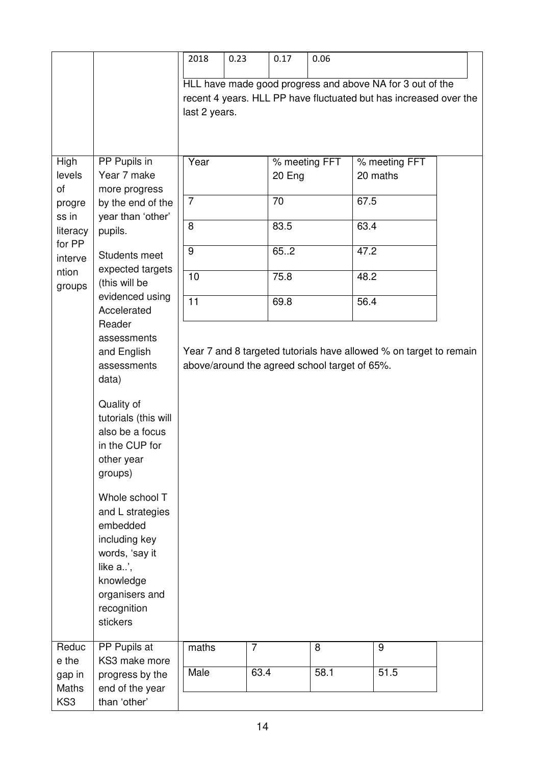|                                                                                                      |                                                                                                                                                                                                                                                                                                                                                                                                                                                                                                                                          | 2018                                                                                                                                            | 0.23           | 0.17                                         | 0.06                                                                |                                                                                                                                              |  |  |  |
|------------------------------------------------------------------------------------------------------|------------------------------------------------------------------------------------------------------------------------------------------------------------------------------------------------------------------------------------------------------------------------------------------------------------------------------------------------------------------------------------------------------------------------------------------------------------------------------------------------------------------------------------------|-------------------------------------------------------------------------------------------------------------------------------------------------|----------------|----------------------------------------------|---------------------------------------------------------------------|----------------------------------------------------------------------------------------------------------------------------------------------|--|--|--|
|                                                                                                      |                                                                                                                                                                                                                                                                                                                                                                                                                                                                                                                                          | HLL have made good progress and above NA for 3 out of the<br>recent 4 years. HLL PP have fluctuated but has increased over the<br>last 2 years. |                |                                              |                                                                     |                                                                                                                                              |  |  |  |
| High<br>levels<br>of<br>progre<br>ss in<br>literacy<br>for PP<br>interve<br>ntion<br>groups<br>Reduc | PP Pupils in<br>Year 7 make<br>more progress<br>by the end of the<br>year than 'other'<br>pupils.<br>Students meet<br>expected targets<br>(this will be<br>evidenced using<br>Accelerated<br>Reader<br>assessments<br>and English<br>assessments<br>data)<br>Quality of<br>tutorials (this will<br>also be a focus<br>in the CUP for<br>other year<br>groups)<br>Whole school T<br>and L strategies<br>embedded<br>including key<br>words, 'say it<br>like a',<br>knowledge<br>organisers and<br>recognition<br>stickers<br>PP Pupils at | Year<br>$\overline{7}$<br>8<br>$\boldsymbol{9}$<br>10<br>$\overline{11}$<br>maths                                                               | $\overline{7}$ | 20 Eng<br>70<br>83.5<br>65.2<br>75.8<br>69.8 | % meeting FFT<br>above/around the agreed school target of 65%.<br>8 | % meeting FFT<br>20 maths<br>67.5<br>63.4<br>47.2<br>48.2<br>56.4<br>Year 7 and 8 targeted tutorials have allowed % on target to remain<br>9 |  |  |  |
| e the<br>gap in<br>Maths<br>KS3                                                                      | KS3 make more<br>progress by the<br>end of the year<br>than 'other'                                                                                                                                                                                                                                                                                                                                                                                                                                                                      | Male                                                                                                                                            | 63.4           |                                              | 58.1                                                                | 51.5                                                                                                                                         |  |  |  |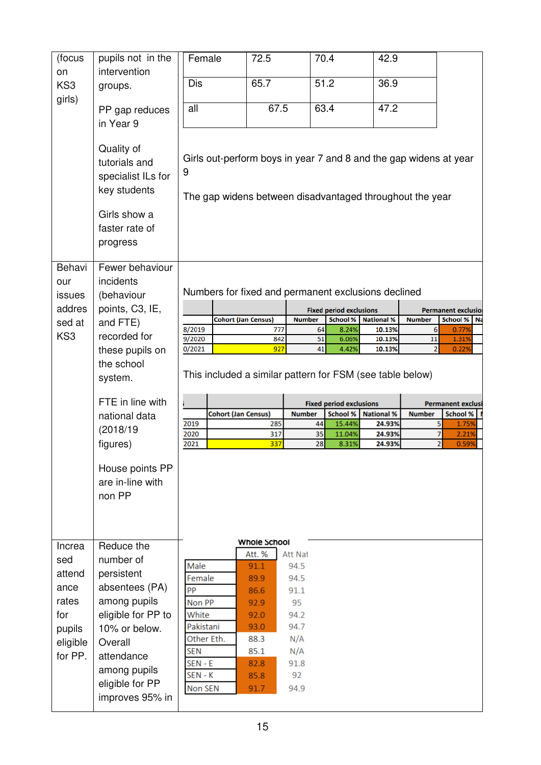| (focus        | pupils not in the<br>intervention                                                                               | Female                                                                                                                             | 72.5                              |                     | 70.4                           | 42.9                        |                     |                                |
|---------------|-----------------------------------------------------------------------------------------------------------------|------------------------------------------------------------------------------------------------------------------------------------|-----------------------------------|---------------------|--------------------------------|-----------------------------|---------------------|--------------------------------|
| on<br>KS3     | groups.                                                                                                         | Dis                                                                                                                                | 65.7                              |                     | 51.2                           | 36.9                        |                     |                                |
| girls)        | PP gap reduces<br>in Year 9                                                                                     | all                                                                                                                                | 67.5                              |                     | 63.4                           | 47.2                        |                     |                                |
|               | Quality of<br>tutorials and<br>specialist ILs for<br>key students<br>Girls show a<br>faster rate of<br>progress | Girls out-perform boys in year 7 and 8 and the gap widens at year<br>9<br>The gap widens between disadvantaged throughout the year |                                   |                     |                                |                             |                     |                                |
| Behavi        | Fewer behaviour                                                                                                 |                                                                                                                                    |                                   |                     |                                |                             |                     |                                |
| our<br>issues | incidents<br>(behaviour                                                                                         | Numbers for fixed and permanent exclusions declined                                                                                |                                   |                     |                                |                             |                     |                                |
| addres        | points, C3, IE,                                                                                                 |                                                                                                                                    |                                   |                     | <b>Fixed period exclusions</b> |                             |                     | <b>Permanent exclusion</b>     |
| sed at        | and FTE)                                                                                                        | 8/2019                                                                                                                             | <b>Cohort (Jan Census)</b><br>777 | <b>Number</b><br>64 | School %<br>8.24%              | <b>National %</b><br>10.13% | <b>Number</b><br>6  | School %<br><b>Na</b><br>0.77% |
| KS3           | recorded for                                                                                                    | 9/2020                                                                                                                             | 842                               | 51                  | 6.06%                          | 10.13%                      | 11                  | 1.31%                          |
|               | these pupils on                                                                                                 | 0/2021                                                                                                                             | 927                               | 41                  | 4.42%                          | 10.13%                      |                     | 0.229                          |
|               | the school<br>system.                                                                                           | This included a similar pattern for FSM (see table below)                                                                          |                                   |                     |                                |                             |                     |                                |
|               |                                                                                                                 |                                                                                                                                    |                                   |                     |                                |                             |                     |                                |
|               | FTE in line with                                                                                                |                                                                                                                                    |                                   |                     | <b>Fixed period exclusions</b> |                             |                     | <b>Permanent exclusi</b>       |
|               | national data                                                                                                   |                                                                                                                                    | <b>Cohort (Jan Census)</b>        | <b>Number</b>       | School %                       | <b>National %</b>           | <b>Number</b>       | School %                       |
|               | (2018/19)                                                                                                       | 2019                                                                                                                               | 285                               | 44                  | 15.44%                         | 24.93%                      | 5                   | 1.759                          |
|               | figures)                                                                                                        | 2020<br>2021                                                                                                                       | 317<br>337                        | 35<br>28            | 11.04%<br>8.31%                | 24.93%<br>24.93%            | 7<br>$\overline{2}$ | 2.21%<br>0.59%                 |
|               | House points PP<br>are in-line with<br>non PP                                                                   |                                                                                                                                    |                                   |                     |                                |                             |                     |                                |
| Increa        | Reduce the                                                                                                      |                                                                                                                                    | Whole School                      |                     |                                |                             |                     |                                |
| sed           | number of                                                                                                       |                                                                                                                                    | Att.%                             | Att Nat             |                                |                             |                     |                                |
| attend        | persistent                                                                                                      | Male                                                                                                                               | 91.1                              | 94.5                |                                |                             |                     |                                |
| ance          | absentees (PA)                                                                                                  | Female                                                                                                                             | 89.9                              | 94.5                |                                |                             |                     |                                |
| rates         | among pupils                                                                                                    | PP<br>Non PP                                                                                                                       | 86.6<br>92.9                      | 91.1<br>95          |                                |                             |                     |                                |
| for           | eligible for PP to                                                                                              | White                                                                                                                              | 92.0                              | 94.2                |                                |                             |                     |                                |
| pupils        | 10% or below.                                                                                                   | Pakistani                                                                                                                          | 93.0                              | 94.7                |                                |                             |                     |                                |
| eligible      | Overall                                                                                                         | Other Eth.                                                                                                                         | 88.3                              | N/A                 |                                |                             |                     |                                |
| for PP.       | attendance                                                                                                      | <b>SEN</b>                                                                                                                         | 85.1                              | N/A                 |                                |                             |                     |                                |
|               |                                                                                                                 | $SEN - E$                                                                                                                          | 82.8                              | 91.8                |                                |                             |                     |                                |
|               | among pupils<br>eligible for PP                                                                                 | SEN - K<br><b>Non SEN</b>                                                                                                          | 85.8<br>91.7                      | 92<br>94.9          |                                |                             |                     |                                |